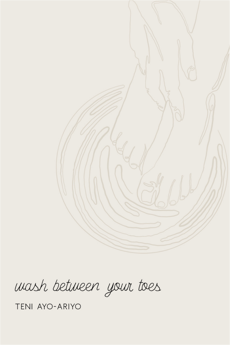

wash between your toes

TENI AYO-ARIYO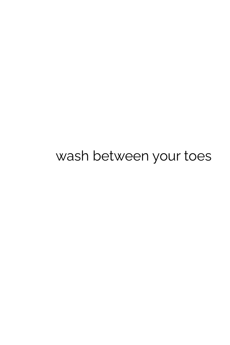wash between your toes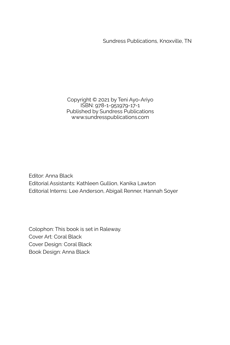Sundress Publications, Knoxville, TN

Copyright © 2021 by Teni Ayo-Ariyo ISBN: 978-1-951979-17-1 Published by Sundress Publications www.sundresspublications.com

Editor: Anna Black Editorial Assistants: Kathleen Gullion, Kanika Lawton Editorial Interns: Lee Anderson, Abigail Renner, Hannah Soyer

Colophon: This book is set in Raleway. Cover Art: Coral Black Cover Design: Coral Black Book Design: Anna Black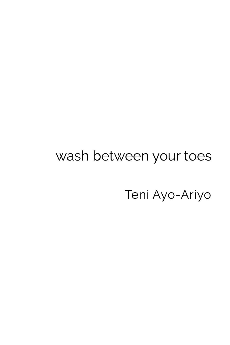## wash between your toes

Teni Ayo-Ariyo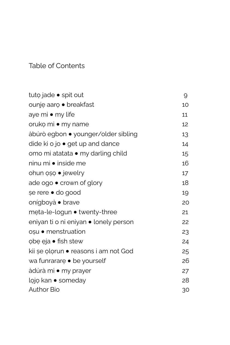Table of Contents

| tuto jade • spit out                    | 9  |
|-----------------------------------------|----|
| ounje aaro • breakfast                  | 10 |
| aye mi • my life                        | 11 |
| oruko mi • my name                      | 12 |
| àbúrò egbon • younger/older sibling     | 13 |
| dide ki o jo $\bullet$ get up and dance | 14 |
| omo mi atatata · my darling child       | 15 |
| ninu mi • inside me                     | 16 |
| ohun oso • jewelry                      | 17 |
| ade ogo • crown of glory                | 18 |
| se rere • do good                       | 19 |
| onígboyà • brave                        | 20 |
| meta-le-logun • twenty-three            | 21 |
| eniyan ti o ni eniyan • lonely person   | 22 |
| oșu • menstruation                      | 23 |
| obe eja • fish stew                     | 24 |
| kii șe olorun • reasons i am not God    | 25 |
| wa funrarare • be yourself              | 26 |
| àdúrà mi • my prayer                    | 27 |
| lojo kan • someday                      | 28 |
| Author Bio                              | 30 |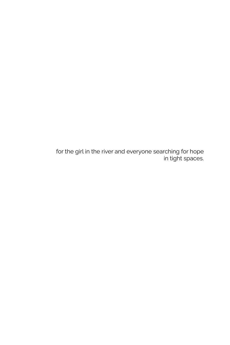for the girl in the river and everyone searching for hope in tight spaces.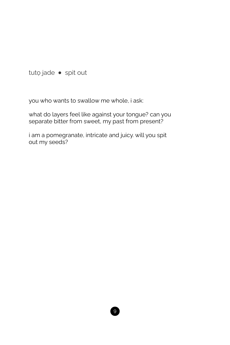tuto jade · spit out

you who wants to swallow me whole, i ask:

what do layers feel like against your tongue? can you separate bitter from sweet, my past from present?

i am a pomegranate, intricate and juicy. will you spit out my seeds?

 $\sqrt{9}$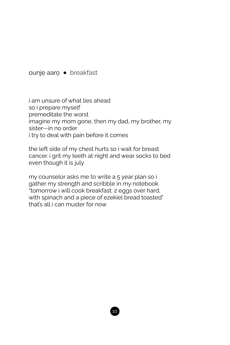ounjẹ aarọ ● breakfast

i am unsure of what lies ahead so i prepare myself premeditate the worst imagine my mom gone, then my dad, my brother, my sister—in no order i try to deal with pain before it comes

the left side of my chest hurts so i wait for breast cancer. i grit my teeth at night and wear socks to bed even though it is july

my counselor asks me to write a 5 year plan so i gather my strength and scribble in my notebook "tomorrow i will cook breakfast: 2 eggs over hard, with spinach and a piece of ezekiel bread toasted" that's all i can muster for now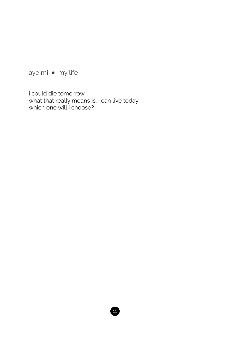aye mi • my life

i could die tomorrow what that really means is, i can live today<br>which one will i choose?

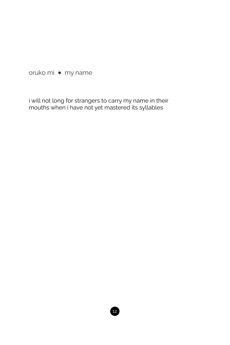oruko mi · my name

i will not long for strangers to carry my name in their<br>mouths when i have not yet mastered its syllables

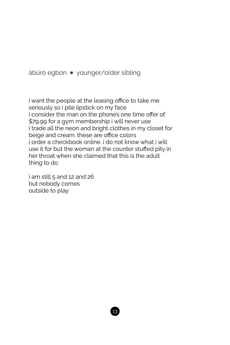àbúrò egbon **●** younger/older sibling

i want the people at the leasing office to take me seriously so i pile lipstick on my face i consider the man on the phone's one time offer of \$79.99 for a gym membership i will never use i trade all the neon and bright clothes in my closet for beige and cream. these are office colors i order a checkbook online. i do not know what i will use it for but the woman at the counter stuffed pity in her throat when she claimed that this is the adult thing to do

i am still 5 and 12 and 26 but nobody comes outside to play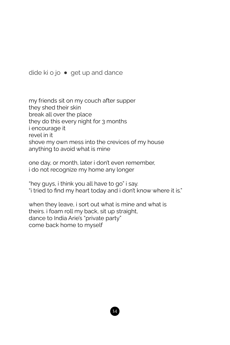dide ki o jo • get up and dance

my friends sit on my couch after supper they shed their skin break all over the place they do this every night for 3 months i encourage it revel in it shove my own mess into the crevices of my house anything to avoid what is mine

one day, or month, later i don't even remember, i do not recognize my home any longer

"hey guys, i think you all have to go" i say. "i tried to find my heart today and i don't know where it is."

when they leave, i sort out what is mine and what is theirs. i foam roll my back, sit up straight, dance to India Arie's "private party" come back home to myself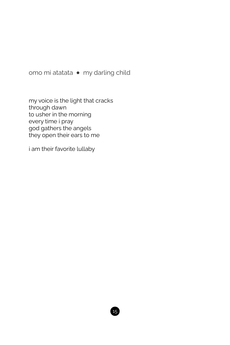omo mi atatata · my darling child

my voice is the light that cracks through dawn to usher in the morning every time i pray god gathers the angels they open their ears to me

i am their favorite lullaby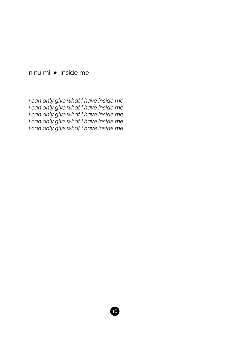ninu mi ● inside me

*i can only give what i have inside me i can only give what i have inside me i can only give what i have inside me i can only give what i have inside me i can only give what i have inside me*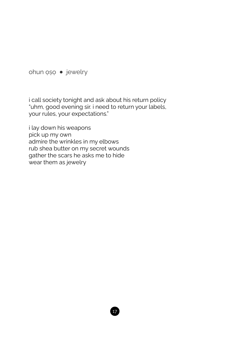ohun ọṣọ ● jewelry

i call society tonight and ask about his return policy "uhm, good evening sir. i need to return your labels, your rules, your expectations."

i lay down his weapons pick up my own admire the wrinkles in my elbows rub shea butter on my secret wounds gather the scars he asks me to hide wear them as jewelry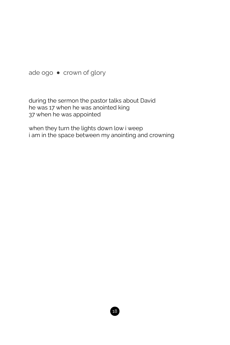ade ogo ● crown of glory

during the sermon the pastor talks about David he was 17 when he was anointed king 37 when he was appointed

when they turn the lights down low i weep i am in the space between my anointing and crowning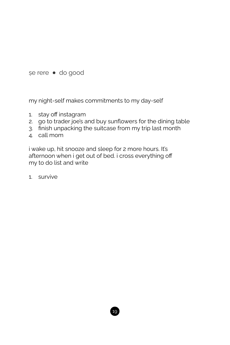ṣe rere ● do good

my night-self makes commitments to my day-self

- 1. stay off instagram
- 2. go to trader joe's and buy sunflowers for the dining table
- 3. finish unpacking the suitcase from my trip last month
- 4. call mom

i wake up, hit snooze and sleep for 2 more hours. It's afternoon when i get out of bed. i cross everything off my to do list and write

1. survive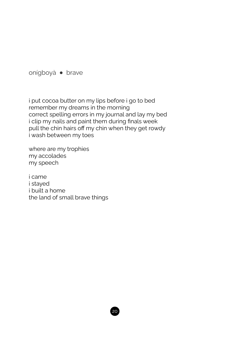onígboyà ● brave

i put cocoa butter on my lips before i go to bed remember my dreams in the morning correct spelling errors in my journal and lay my bed i clip my nails and paint them during finals week pull the chin hairs off my chin when they get rowdy i wash between my toes

where are my trophies my accolades my speech

i came i stayed i built a home the land of small brave things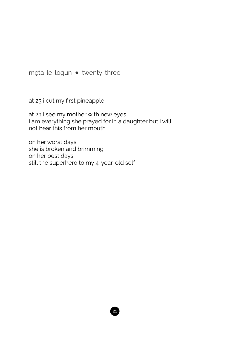mẹta-le-logun ● twenty-three

at 23 i cut my first pineapple

at 23 i see my mother with new eyes i am everything she prayed for in a daughter but i will not hear this from her mouth

on her worst days she is broken and brimming on her best days still the superhero to my 4-year-old self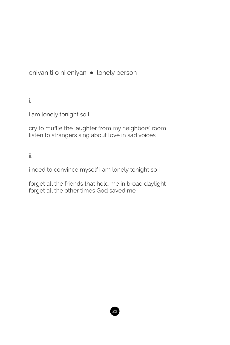eniyan ti o ni eniyan • lonely person

i.

i am lonely tonight so i

cry to muffle the laughter from my neighbors' room listen to strangers sing about love in sad voices

ii.

i need to convince myself i am lonely tonight so i

forget all the friends that hold me in broad daylight forget all the other times God saved me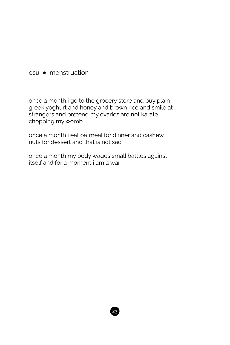## oṣu ● menstruation

once a month i go to the grocery store and buy plain greek yoghurt and honey and brown rice and smile at strangers and pretend my ovaries are not karate chopping my womb

once a month i eat oatmeal for dinner and cashew nuts for dessert and that is not sad

once a month my body wages small battles against itself and for a moment i am a war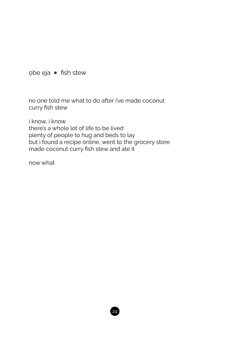obe eja · fish stew

no one told me what to do after i've made coconut curry fish stew

i know. i know there's a whole lot of life to be lived plenty of people to hug and beds to lay but i found a recipe online, went to the grocery store made coconut curry fish stew and ate it

now what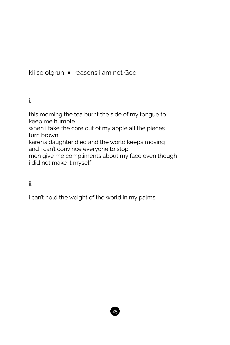kii șe ọlọrun • reasons i am not God

i.

this morning the tea burnt the side of my tongue to keep me humble when i take the core out of my apple all the pieces turn brown karen's daughter died and the world keeps moving and i can't convince everyone to stop men give me compliments about my face even though i did not make it myself

ii.

i can't hold the weight of the world in my palms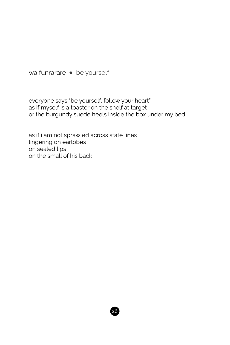wa funrararę • be yourself

everyone says "be yourself, follow your heart" as if myself is a toaster on the shelf at target or the burgundy suede heels inside the box under my bed

as if i am not sprawled across state lines lingering on earlobes on sealed lips on the small of his back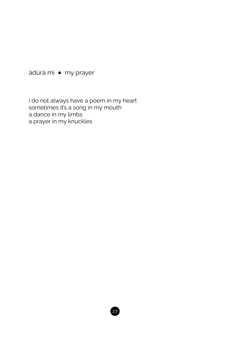àdúrà mi · my prayer

i do not always have a poem in my heart<br>sometimes it's a song in my mouth a dance in my limbs a prayer in my knuckles

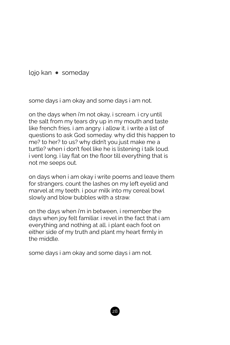lọjọ kan ● someday

some days i am okay and some days i am not.

on the days when i'm not okay, i scream. i cry until the salt from my tears dry up in my mouth and taste like french fries. i am angry. i allow it. i write a list of questions to ask God someday. why did this happen to me? to her? to us? why didn't you just make me a turtle? when i don't feel like he is listening i talk loud. i vent long. i lay flat on the floor till everything that is not me seeps out.

on days when i am okay i write poems and leave them for strangers. count the lashes on my left eyelid and marvel at my teeth. i pour milk into my cereal bowl slowly and blow bubbles with a straw.

on the days when i'm in between, i remember the days when joy felt familiar. i revel in the fact that i am everything and nothing at all. i plant each foot on either side of my truth and plant my heart firmly in the middle.

some days i am okay and some days i am not.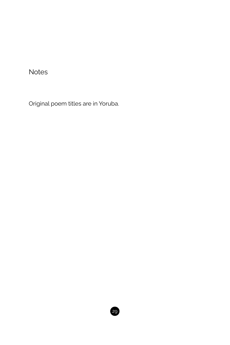**Notes** 

Original poem titles are in Yoruba.